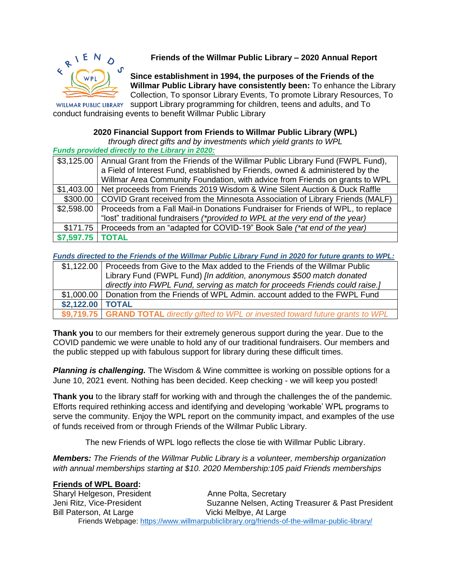

### **Friends of the Willmar Public Library – 2020 Annual Report**

**Since establishment in 1994, the purposes of the Friends of the Willmar Public Library have consistently been:** To enhance the Library Collection, To sponsor Library Events, To promote Library Resources, To

WILLMAR PUBLIC LIBRARY support Library programming for children, teens and adults, and To conduct fundraising events to benefit Willmar Public Library

#### **2020 Financial Support from Friends to Willmar Public Library (WPL)**

*through direct gifts and by investments which yield grants to WPL Funds provided directly to the Library in 2020:*

| \$3,125.00 | Annual Grant from the Friends of the Willmar Public Library Fund (FWPL Fund),      |  |
|------------|------------------------------------------------------------------------------------|--|
|            | a Field of Interest Fund, established by Friends, owned & administered by the      |  |
|            | Willmar Area Community Foundation, with advice from Friends on grants to WPL       |  |
| \$1,403.00 | Net proceeds from Friends 2019 Wisdom & Wine Silent Auction & Duck Raffle          |  |
| \$300.00   | COVID Grant received from the Minnesota Association of Library Friends (MALF)      |  |
| \$2,598.00 | Proceeds from a Fall Mail-in Donations Fundraiser for Friends of WPL, to replace   |  |
|            | "lost" traditional fundraisers (*provided to WPL at the very end of the year)      |  |
|            | \$171.75   Proceeds from an "adapted for COVID-19" Book Sale (*at end of the year) |  |
| \$7,597.75 | <b>TOTAL</b>                                                                       |  |

*Funds directed to the Friends of the Willmar Public Library Fund in 2020 for future grants to WPL:*

|                    | \$1,122.00   Proceeds from Give to the Max added to the Friends of the Willmar Public |  |  |
|--------------------|---------------------------------------------------------------------------------------|--|--|
|                    | Library Fund (FWPL Fund) [In addition, anonymous \$500 match donated                  |  |  |
|                    | directly into FWPL Fund, serving as match for proceeds Friends could raise.]          |  |  |
|                    | \$1,000.00   Donation from the Friends of WPL Admin. account added to the FWPL Fund   |  |  |
| \$2,122.00   TOTAL |                                                                                       |  |  |
|                    | \$9,719.75 GRAND TOTAL directly gifted to WPL or invested toward future grants to WPL |  |  |

**Thank you** to our members for their extremely generous support during the year. Due to the COVID pandemic we were unable to hold any of our traditional fundraisers. Our members and the public stepped up with fabulous support for library during these difficult times.

*Planning is challenging.* The Wisdom & Wine committee is working on possible options for a June 10, 2021 event. Nothing has been decided. Keep checking - we will keep you posted!

**Thank you** to the library staff for working with and through the challenges the of the pandemic. Efforts required rethinking access and identifying and developing 'workable' WPL programs to serve the community. Enjoy the WPL report on the community impact, and examples of the use of funds received from or through Friends of the Willmar Public Library.

The new Friends of WPL logo reflects the close tie with Willmar Public Library.

*Members: The Friends of the Willmar Public Library is a volunteer, membership organization with annual memberships starting at \$10. 2020 Membership:105 paid Friends memberships*

#### **Friends of WPL Board:**

Sharyl Helgeson, President **Anne Polta, Secretary** Jeni Ritz, Vice-President Suzanne Nelsen, Acting Treasurer & Past President Bill Paterson, At Large Vicki Melbye, At Large Friends Webpage:<https://www.willmarpubliclibrary.org/friends-of-the-willmar-public-library/>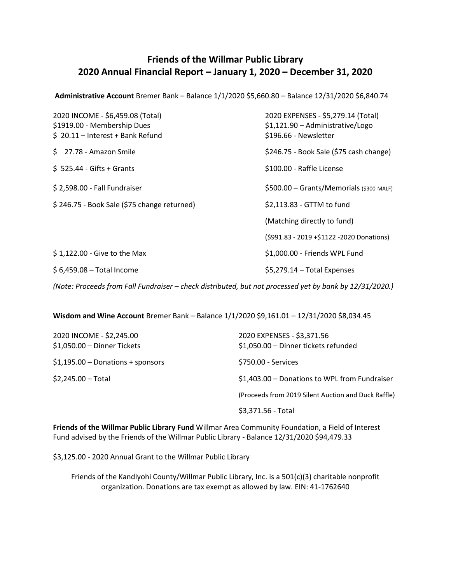## **Friends of the Willmar Public Library 2020 Annual Financial Report – January 1, 2020 – December 31, 2020**

**Administrative Account** Bremer Bank – Balance 1/1/2020 \$5,660.80 – Balance 12/31/2020 \$6,840.74

| 2020 INCOME - \$6,459.08 (Total)<br>\$1919.00 - Membership Dues<br>$$20.11$ - Interest + Bank Refund | 2020 EXPENSES - \$5,279.14 (Total)<br>\$1,121.90 - Administrative/Logo<br>\$196.66 - Newsletter |
|------------------------------------------------------------------------------------------------------|-------------------------------------------------------------------------------------------------|
| \$ 27.78 - Amazon Smile                                                                              | \$246.75 - Book Sale (\$75 cash change)                                                         |
| $$ 525.44 - Gifts + Grants$                                                                          | \$100.00 - Raffle License                                                                       |
| \$2,598.00 - Fall Fundraiser                                                                         | \$500.00 - Grants/Memorials (\$300 MALF)                                                        |
| \$246.75 - Book Sale (\$75 change returned)                                                          | \$2,113.83 - GTTM to fund                                                                       |
|                                                                                                      | (Matching directly to fund)                                                                     |
|                                                                                                      | (\$991.83 - 2019 +\$1122 -2020 Donations)                                                       |
| $$1,122.00$ - Give to the Max                                                                        | \$1,000.00 - Friends WPL Fund                                                                   |
| $$6,459.08 - Total Income$                                                                           | $$5,279.14$ – Total Expenses                                                                    |
|                                                                                                      |                                                                                                 |

*(Note: Proceeds from Fall Fundraiser – check distributed, but not processed yet by bank by 12/31/2020.)*

**Wisdom and Wine Account** Bremer Bank – Balance 1/1/2020 \$9,161.01 – 12/31/2020 \$8,034.45

| 2020 INCOME - \$2,245.00           | 2020 EXPENSES - \$3,371.56                          |
|------------------------------------|-----------------------------------------------------|
| $$1,050.00 -$ Dinner Tickets       | \$1,050.00 - Dinner tickets refunded                |
| $$1,195.00 - Donations + sponsors$ | \$750.00 - Services                                 |
| $$2,245.00 - Total$                | \$1,403.00 - Donations to WPL from Fundraiser       |
|                                    | (Proceeds from 2019 Silent Auction and Duck Raffle) |
|                                    | \$3,371.56 - Total                                  |

**Friends of the Willmar Public Library Fund** Willmar Area Community Foundation, a Field of Interest Fund advised by the Friends of the Willmar Public Library - Balance 12/31/2020 \$94,479.33

\$3,125.00 - 2020 Annual Grant to the Willmar Public Library

Friends of the Kandiyohi County/Willmar Public Library, Inc. is a 501(c)(3) charitable nonprofit organization. Donations are tax exempt as allowed by law. EIN: 41-1762640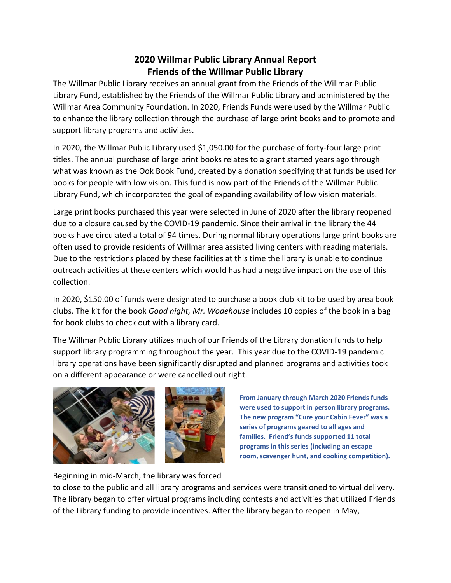# **2020 Willmar Public Library Annual Report Friends of the Willmar Public Library**

The Willmar Public Library receives an annual grant from the Friends of the Willmar Public Library Fund, established by the Friends of the Willmar Public Library and administered by the Willmar Area Community Foundation. In 2020, Friends Funds were used by the Willmar Public to enhance the library collection through the purchase of large print books and to promote and support library programs and activities.

In 2020, the Willmar Public Library used \$1,050.00 for the purchase of forty-four large print titles. The annual purchase of large print books relates to a grant started years ago through what was known as the Ook Book Fund, created by a donation specifying that funds be used for books for people with low vision. This fund is now part of the Friends of the Willmar Public Library Fund, which incorporated the goal of expanding availability of low vision materials.

Large print books purchased this year were selected in June of 2020 after the library reopened due to a closure caused by the COVID-19 pandemic. Since their arrival in the library the 44 books have circulated a total of 94 times. During normal library operations large print books are often used to provide residents of Willmar area assisted living centers with reading materials. Due to the restrictions placed by these facilities at this time the library is unable to continue outreach activities at these centers which would has had a negative impact on the use of this collection.

In 2020, \$150.00 of funds were designated to purchase a book club kit to be used by area book clubs. The kit for the book *Good night, Mr. Wodehouse* includes 10 copies of the book in a bag for book clubs to check out with a library card.

The Willmar Public Library utilizes much of our Friends of the Library donation funds to help support library programming throughout the year. This year due to the COVID-19 pandemic library operations have been significantly disrupted and planned programs and activities took on a different appearance or were cancelled out right.



**From January through March 2020 Friends funds were used to support in person library programs. The new program "Cure your Cabin Fever" was a series of programs geared to all ages and families. Friend's funds supported 11 total programs in this series (including an escape room, scavenger hunt, and cooking competition).** 

Beginning in mid-March, the library was forced

to close to the public and all library programs and services were transitioned to virtual delivery. The library began to offer virtual programs including contests and activities that utilized Friends of the Library funding to provide incentives. After the library began to reopen in May,